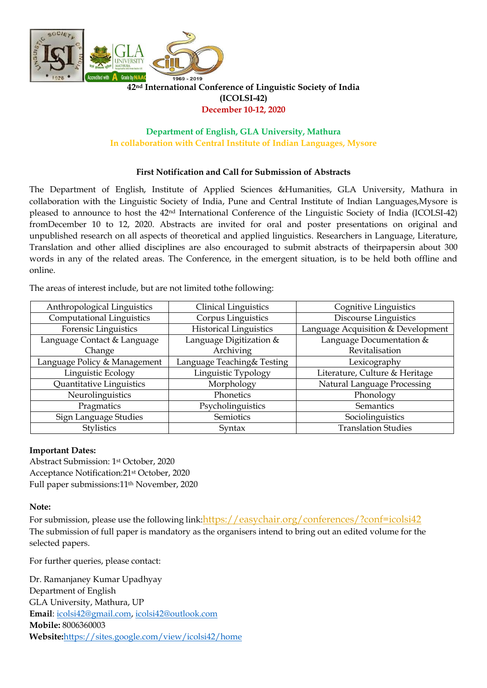

# **42nd International Conference of Linguistic Society of India (ICOLSI-42) December 10-12, 2020**

## **Department of English, GLA University, Mathura In collaboration with Central Institute of Indian Languages, Mysore**

# **First Notification and Call for Submission of Abstracts**

The Department of English, Institute of Applied Sciences &Humanities, GLA University, Mathura in collaboration with the Linguistic Society of India, Pune and Central Institute of Indian Languages,Mysore is pleased to announce to host the 42nd International Conference of the Linguistic Society of India (ICOLSI-42) fromDecember 10 to 12, 2020. Abstracts are invited for oral and poster presentations on original and unpublished research on all aspects of theoretical and applied linguistics. Researchers in Language, Literature, Translation and other allied disciplines are also encouraged to submit abstracts of theirpapersin about 300 words in any of the related areas. The Conference, in the emergent situation, is to be held both offline and online.

The areas of interest include, but are not limited tothe following:

| Anthropological Linguistics      | <b>Clinical Linguistics</b>   | Cognitive Linguistics              |
|----------------------------------|-------------------------------|------------------------------------|
| <b>Computational Linguistics</b> | Corpus Linguistics            | <b>Discourse Linguistics</b>       |
| Forensic Linguistics             | <b>Historical Linguistics</b> | Language Acquisition & Development |
| Language Contact & Language      | Language Digitization &       | Language Documentation &           |
| Change                           | Archiving                     | Revitalisation                     |
| Language Policy & Management     | Language Teaching& Testing    | Lexicography                       |
| Linguistic Ecology               | Linguistic Typology           | Literature, Culture & Heritage     |
| Quantitative Linguistics         | Morphology                    | Natural Language Processing        |
| Neurolinguistics                 | Phonetics                     | Phonology                          |
| Pragmatics                       | Psycholinguistics             | Semantics                          |
| Sign Language Studies            | Semiotics                     | Sociolinguistics                   |
| <b>Stylistics</b>                | Syntax                        | <b>Translation Studies</b>         |

### **Important Dates:**

Abstract Submission: 1st October, 2020 Acceptance Notification:21st October, 2020 Full paper submissions:11th November, 2020

### **Note:**

For submission, please use the following link:<https://easychair.org/conferences/?conf=icolsi42> The submission of full paper is mandatory as the organisers intend to bring out an edited volume for the selected papers.

For further queries, please contact:

Dr. Ramanjaney Kumar Upadhyay Department of English GLA University, Mathura, UP **Email**: [icolsi42@gmail.com,](mailto:icolsi42@gmail.com) [icolsi42@outlook.com](mailto:icolsi42@outlook.com) **Mobile:** 8006360003 **Website:**<https://sites.google.com/view/icolsi42/home>